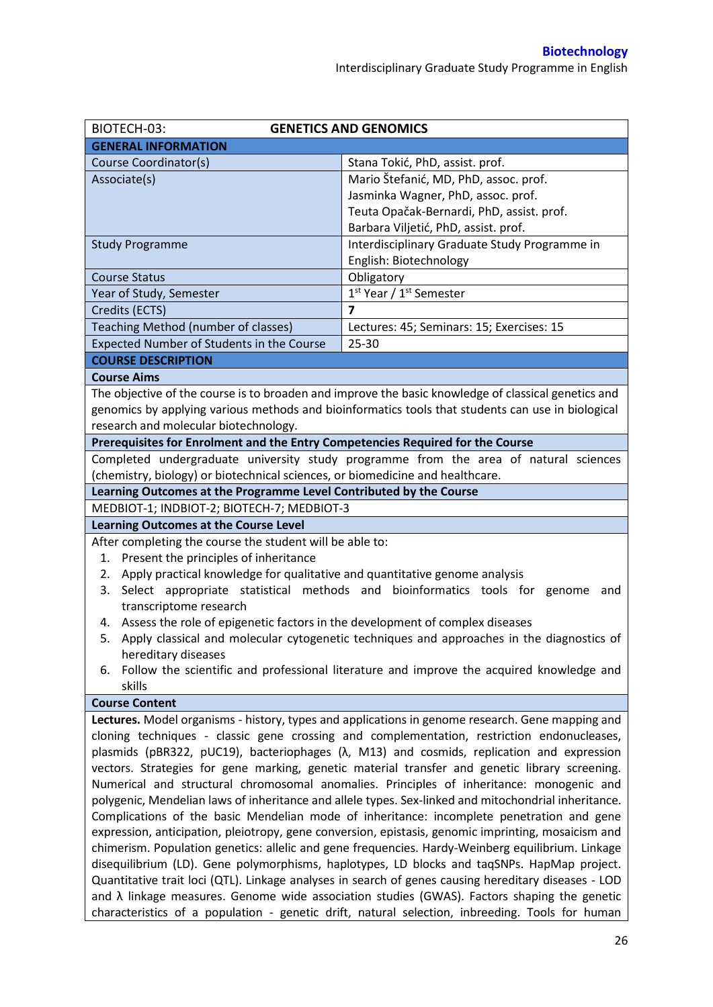| BIOTECH-03:<br><b>GENETICS AND GENOMICS</b>                                      |                                                                                                                                                                                                        |  |  |  |  |
|----------------------------------------------------------------------------------|--------------------------------------------------------------------------------------------------------------------------------------------------------------------------------------------------------|--|--|--|--|
| <b>GENERAL INFORMATION</b>                                                       |                                                                                                                                                                                                        |  |  |  |  |
| Course Coordinator(s)                                                            | Stana Tokić, PhD, assist. prof.                                                                                                                                                                        |  |  |  |  |
| Associate(s)                                                                     | Mario Štefanić, MD, PhD, assoc. prof.                                                                                                                                                                  |  |  |  |  |
|                                                                                  | Jasminka Wagner, PhD, assoc. prof.                                                                                                                                                                     |  |  |  |  |
|                                                                                  | Teuta Opačak-Bernardi, PhD, assist. prof.                                                                                                                                                              |  |  |  |  |
|                                                                                  | Barbara Viljetić, PhD, assist. prof.                                                                                                                                                                   |  |  |  |  |
| <b>Study Programme</b>                                                           | Interdisciplinary Graduate Study Programme in                                                                                                                                                          |  |  |  |  |
|                                                                                  | English: Biotechnology                                                                                                                                                                                 |  |  |  |  |
| <b>Course Status</b>                                                             | Obligatory                                                                                                                                                                                             |  |  |  |  |
| Year of Study, Semester                                                          | 1 <sup>st</sup> Year / 1 <sup>st</sup> Semester                                                                                                                                                        |  |  |  |  |
| Credits (ECTS)                                                                   | $\overline{7}$                                                                                                                                                                                         |  |  |  |  |
| Teaching Method (number of classes)                                              | Lectures: 45; Seminars: 15; Exercises: 15                                                                                                                                                              |  |  |  |  |
| Expected Number of Students in the Course                                        | 25-30                                                                                                                                                                                                  |  |  |  |  |
| <b>COURSE DESCRIPTION</b>                                                        |                                                                                                                                                                                                        |  |  |  |  |
| <b>Course Aims</b>                                                               |                                                                                                                                                                                                        |  |  |  |  |
|                                                                                  | The objective of the course is to broaden and improve the basic knowledge of classical genetics and                                                                                                    |  |  |  |  |
|                                                                                  | genomics by applying various methods and bioinformatics tools that students can use in biological                                                                                                      |  |  |  |  |
| research and molecular biotechnology.                                            |                                                                                                                                                                                                        |  |  |  |  |
| Prerequisites for Enrolment and the Entry Competencies Required for the Course   |                                                                                                                                                                                                        |  |  |  |  |
|                                                                                  | Completed undergraduate university study programme from the area of natural sciences                                                                                                                   |  |  |  |  |
| (chemistry, biology) or biotechnical sciences, or biomedicine and healthcare.    |                                                                                                                                                                                                        |  |  |  |  |
| Learning Outcomes at the Programme Level Contributed by the Course               |                                                                                                                                                                                                        |  |  |  |  |
|                                                                                  | MEDBIOT-1; INDBIOT-2; BIOTECH-7; MEDBIOT-3                                                                                                                                                             |  |  |  |  |
| <b>Learning Outcomes at the Course Level</b>                                     |                                                                                                                                                                                                        |  |  |  |  |
|                                                                                  |                                                                                                                                                                                                        |  |  |  |  |
| After completing the course the student will be able to:                         |                                                                                                                                                                                                        |  |  |  |  |
| Present the principles of inheritance<br>1.                                      |                                                                                                                                                                                                        |  |  |  |  |
| Apply practical knowledge for qualitative and quantitative genome analysis<br>2. |                                                                                                                                                                                                        |  |  |  |  |
| 3.                                                                               | Select appropriate statistical methods and bioinformatics tools for genome and                                                                                                                         |  |  |  |  |
| transcriptome research                                                           |                                                                                                                                                                                                        |  |  |  |  |
| 4. Assess the role of epigenetic factors in the development of complex diseases  |                                                                                                                                                                                                        |  |  |  |  |
| 5.                                                                               | Apply classical and molecular cytogenetic techniques and approaches in the diagnostics of                                                                                                              |  |  |  |  |
| hereditary diseases                                                              |                                                                                                                                                                                                        |  |  |  |  |
| 6.                                                                               | Follow the scientific and professional literature and improve the acquired knowledge and                                                                                                               |  |  |  |  |
| skills                                                                           |                                                                                                                                                                                                        |  |  |  |  |
| <b>Course Content</b>                                                            |                                                                                                                                                                                                        |  |  |  |  |
|                                                                                  | Lectures. Model organisms - history, types and applications in genome research. Gene mapping and                                                                                                       |  |  |  |  |
|                                                                                  | cloning techniques - classic gene crossing and complementation, restriction endonucleases,                                                                                                             |  |  |  |  |
|                                                                                  | plasmids (pBR322, pUC19), bacteriophages ( $\lambda$ , M13) and cosmids, replication and expression                                                                                                    |  |  |  |  |
|                                                                                  | vectors. Strategies for gene marking, genetic material transfer and genetic library screening.                                                                                                         |  |  |  |  |
|                                                                                  | Numerical and structural chromosomal anomalies. Principles of inheritance: monogenic and                                                                                                               |  |  |  |  |
|                                                                                  | polygenic, Mendelian laws of inheritance and allele types. Sex-linked and mitochondrial inheritance.                                                                                                   |  |  |  |  |
|                                                                                  | Complications of the basic Mendelian mode of inheritance: incomplete penetration and gene                                                                                                              |  |  |  |  |
|                                                                                  | expression, anticipation, pleiotropy, gene conversion, epistasis, genomic imprinting, mosaicism and                                                                                                    |  |  |  |  |
|                                                                                  | chimerism. Population genetics: allelic and gene frequencies. Hardy-Weinberg equilibrium. Linkage                                                                                                      |  |  |  |  |
|                                                                                  | disequilibrium (LD). Gene polymorphisms, haplotypes, LD blocks and taqSNPs. HapMap project.                                                                                                            |  |  |  |  |
|                                                                                  | Quantitative trait loci (QTL). Linkage analyses in search of genes causing hereditary diseases - LOD                                                                                                   |  |  |  |  |
|                                                                                  | and $\lambda$ linkage measures. Genome wide association studies (GWAS). Factors shaping the genetic<br>characteristics of a population - genetic drift, natural selection, inbreeding. Tools for human |  |  |  |  |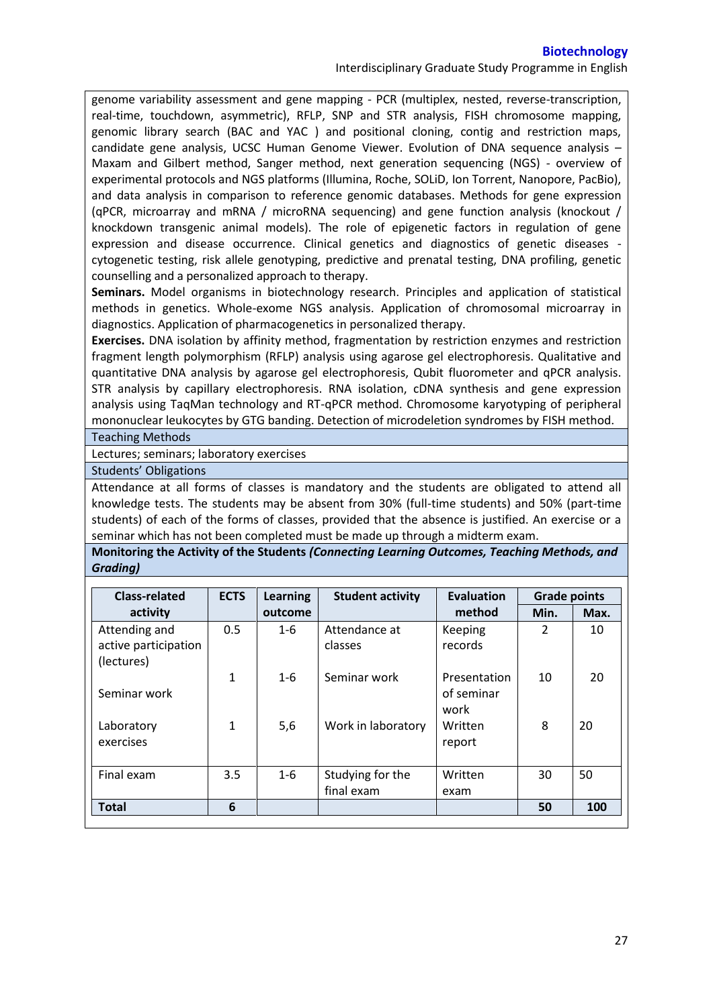Interdisciplinary Graduate Study Programme in English

genome variability assessment and gene mapping - PCR (multiplex, nested, reverse-transcription, real-time, touchdown, asymmetric), RFLP, SNP and STR analysis, FISH chromosome mapping, genomic library search (BAC and YAC ) and positional cloning, contig and restriction maps, candidate gene analysis, UCSC Human Genome Viewer. Evolution of DNA sequence analysis – Maxam and Gilbert method, Sanger method, next generation sequencing (NGS) - overview of experimental protocols and NGS platforms (Illumina, Roche, SOLiD, Ion Torrent, Nanopore, PacBio), and data analysis in comparison to reference genomic databases. Methods for gene expression (qPCR, microarray and mRNA / microRNA sequencing) and gene function analysis (knockout / knockdown transgenic animal models). The role of epigenetic factors in regulation of gene expression and disease occurrence. Clinical genetics and diagnostics of genetic diseases cytogenetic testing, risk allele genotyping, predictive and prenatal testing, DNA profiling, genetic counselling and a personalized approach to therapy.

**Seminars.** Model organisms in biotechnology research. Principles and application of statistical methods in genetics. Whole-exome NGS analysis. Application of chromosomal microarray in diagnostics. Application of pharmacogenetics in personalized therapy.

**Exercises.** DNA isolation by affinity method, fragmentation by restriction enzymes and restriction fragment length polymorphism (RFLP) analysis using agarose gel electrophoresis. Qualitative and quantitative DNA analysis by agarose gel electrophoresis, Qubit fluorometer and qPCR analysis. STR analysis by capillary electrophoresis. RNA isolation, cDNA synthesis and gene expression analysis using TaqMan technology and RT-qPCR method. Chromosome karyotyping of peripheral mononuclear leukocytes by GTG banding. Detection of microdeletion syndromes by FISH method. Teaching Methods

Lectures; seminars; laboratory exercises

Students' Obligations

Attendance at all forms of classes is mandatory and the students are obligated to attend all knowledge tests. The students may be absent from 30% (full-time students) and 50% (part-time students) of each of the forms of classes, provided that the absence is justified. An exercise or a seminar which has not been completed must be made up through a midterm exam.

**Monitoring the Activity of the Students** *(Connecting Learning Outcomes, Teaching Methods, and Grading)*

| <b>Class-related</b>                                | <b>ECTS</b>  | Learning | <b>Student activity</b>        | <b>Evaluation</b>                  | <b>Grade points</b> |      |
|-----------------------------------------------------|--------------|----------|--------------------------------|------------------------------------|---------------------|------|
| activity                                            |              | outcome  |                                | method                             | Min.                | Max. |
| Attending and<br>active participation<br>(lectures) | 0.5          | $1 - 6$  | Attendance at<br>classes       | Keeping<br>records                 | $\mathcal{P}$       | 10   |
| Seminar work                                        | $\mathbf{1}$ | $1 - 6$  | Seminar work                   | Presentation<br>of seminar<br>work | 10                  | 20   |
| Laboratory<br>exercises                             | $\mathbf{1}$ | 5,6      | Work in laboratory             | Written<br>report                  | 8                   | 20   |
| Final exam                                          | 3.5          | $1 - 6$  | Studying for the<br>final exam | Written<br>exam                    | 30                  | 50   |
| <b>Total</b>                                        | 6            |          |                                |                                    | 50                  | 100  |